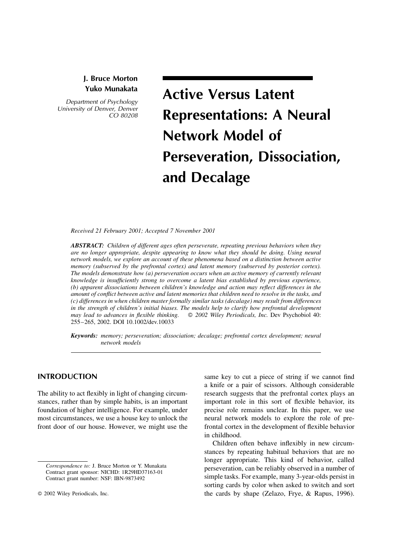# J. Bruce Morton Yuko Munakata

Department of Psychology University of Denver, Denver CO 80208

# **Active Versus Latent Representations: A Neural** Network Model of Perseveration, Dissociation, and Decalage

Received 21 February 2001; Accepted 7 November 2001

**ABSTRACT:** Children of different ages often perseverate, repeating previous behaviors when they are no longer appropriate, despite appearing to know what they should be doing. Using neural network models, we explore an account of these phenomena based on a distinction between active memory (subserved by the prefrontal cortex) and latent memory (subserved by posterior cortex). The models demonstrate how (a) perseveration occurs when an active memory of currently relevant knowledge is insufficiently strong to overcome a latent bias established by previous experience, (b) apparent dissociations between children's knowledge and action may reflect differences in the amount of conflict between active and latent memories that children need to resolve in the tasks, and (c) differences in when children master formally similar tasks (decalage) may result from differences in the strength of children's initial biases. The models help to clarify how prefrontal development may lead to advances in flexible thinking.  $\circ$  2002 Wiley Periodicals, Inc. Dev Psychobiol 40: 255-265, 2002. DOI 10.1002/dev.10033

Keywords: memory; perseveration; dissociation; decalage; prefrontal cortex development; neural network models

# **INTRODUCTION**

The ability to act flexibly in light of changing circumstances, rather than by simple habits, is an important foundation of higher intelligence. For example, under most circumstances, we use a house key to unlock the front door of our house. However, we might use the

same key to cut a piece of string if we cannot find a knife or a pair of scissors. Although considerable research suggests that the prefrontal cortex plays an important role in this sort of flexible behavior, its precise role remains unclear. In this paper, we use neural network models to explore the role of prefrontal cortex in the development of flexible behavior in childhood.

Children often behave inflexibly in new circumstances by repeating habitual behaviors that are no longer appropriate. This kind of behavior, called perseveration, can be reliably observed in a number of simple tasks. For example, many 3-year-olds persist in sorting cards by color when asked to switch and sort the cards by shape (Zelazo, Frye, & Rapus, 1996).

Correspondence to: J. Bruce Morton or Y. Munakata Contract grant sponsor: NICHD: 1R29HD37163-01 Contract grant number: NSF: IBN-9873492

<sup>© 2002</sup> Wiley Periodicals, Inc.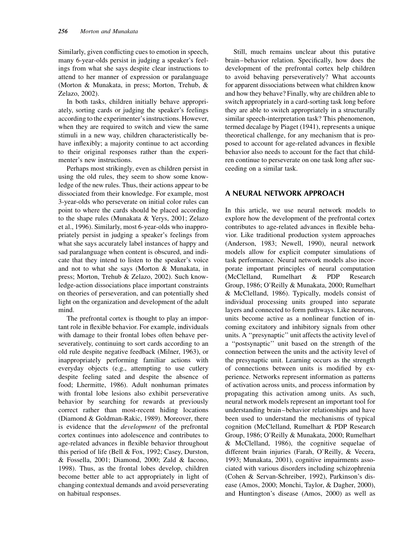Similarly, given conflicting cues to emotion in speech, many 6-year-olds persist in judging a speaker's feelings from what she says despite clear instructions to attend to her manner of expression or paralanguage (Morton & Munakata, in press; Morton, Trehub, & Zelazo, 2002).

In both tasks, children initially behave appropriately, sorting cards or judging the speaker's feelings according to the experimenter's instructions. However, when they are required to switch and view the same stimuli in a new way, children characteristically behave inflexibly; a majority continue to act according to their original responses rather than the experimenter's new instructions.

Perhaps most strikingly, even as children persist in using the old rules, they seem to show some knowledge of the new rules. Thus, their actions appear to be dissociated from their knowledge. For example, most 3-year-olds who perseverate on initial color rules can point to where the cards should be placed according to the shape rules (Munakata & Yerys, 2001; Zelazo et al., 1996). Similarly, most 6-year-olds who inappropriately persist in judging a speaker's feelings from what she says accurately label instances of happy and sad paralanguage when content is obscured, and indicate that they intend to listen to the speaker's voice and not to what she says (Morton & Munakata, in press; Morton, Trehub & Zelazo, 2002). Such knowledge-action dissociations place important constraints on theories of perseveration, and can potentially shed light on the organization and development of the adult mind.

The prefrontal cortex is thought to play an important role in flexible behavior. For example, individuals with damage to their frontal lobes often behave perseveratively, continuing to sort cards according to an old rule despite negative feedback (Milner, 1963), or inappropriately performing familiar actions with everyday objects (e.g., attempting to use cutlery despite feeling sated and despite the absence of food; Lhermitte, 1986). Adult nonhuman primates with frontal lobe lesions also exhibit perseverative behavior by searching for rewards at previously correct rather than most-recent hiding locations (Diamond & Goldman-Rakic, 1989). Moreover, there is evidence that the *development* of the prefrontal cortex continues into adolescence and contributes to age-related advances in flexible behavior throughout this period of life (Bell & Fox, 1992; Casey, Durston, & Fossella, 2001; Diamond, 2000; Zald & Iacono, 1998). Thus, as the frontal lobes develop, children become better able to act appropriately in light of changing contextual demands and avoid perseverating on habitual responses.

Still, much remains unclear about this putative brain-behavior relation. Specifically, how does the development of the prefrontal cortex help children to avoid behaving perseveratively? What accounts for apparent dissociations between what children know and how they behave? Finally, why are children able to switch appropriately in a card-sorting task long before they are able to switch appropriately in a structurally similar speech-interpretation task? This phenomenon, termed decalage by Piaget (1941), represents a unique theoretical challenge, for any mechanism that is proposed to account for age-related advances in flexible behavior also needs to account for the fact that children continue to perseverate on one task long after succeeding on a similar task.

#### A NEURAL NETWORK APPROACH

In this article, we use neural network models to explore how the development of the prefrontal cortex contributes to age-related advances in flexible behavior. Like traditional production system approaches (Anderson, 1983; Newell, 1990), neural network models allow for explicit computer simulations of task performance. Neural network models also incorporate important principles of neural computation (McClelland, Rumelhart  $\&$ **PDP** Research Group, 1986; O'Reilly & Munakata, 2000; Rumelhart & McClelland, 1986). Typically, models consist of individual processing units grouped into separate layers and connected to form pathways. Like neurons, units become active as a nonlinear function of incoming excitatory and inhibitory signals from other units. A "presynaptic" unit affects the activity level of a "postsynaptic" unit based on the strength of the connection between the units and the activity level of the presynaptic unit. Learning occurs as the strength of connections between units is modified by experience. Networks represent information as patterns of activation across units, and process information by propagating this activation among units. As such, neural network models represent an important tool for understanding brain-behavior relationships and have been used to understand the mechanisms of typical cognition (McClelland, Rumelhart & PDP Research Group, 1986; O'Reilly & Munakata, 2000; Rumelhart & McClelland, 1986), the cognitive sequelae of different brain injuries (Farah, O'Reilly, & Vecera, 1993; Munakata, 2001), cognitive impairments associated with various disorders including schizophrenia (Cohen & Servan-Schreiber, 1992), Parkinson's disease (Amos, 2000; Monchi, Taylor, & Dagher, 2000), and Huntington's disease (Amos, 2000) as well as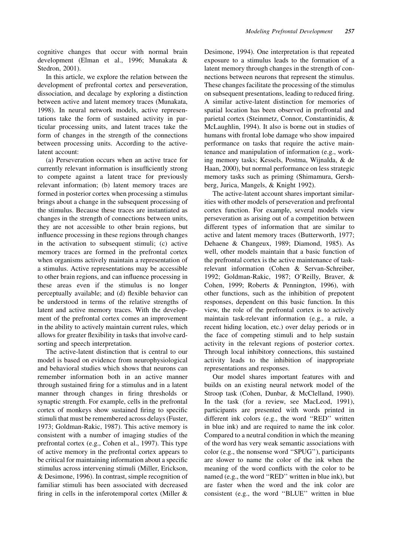cognitive changes that occur with normal brain development (Elman et al., 1996; Munakata & Stedron, 2001).

In this article, we explore the relation between the development of prefrontal cortex and perseveration, dissociation, and decalage by exploring a distinction between active and latent memory traces (Munakata, 1998). In neural network models, active representations take the form of sustained activity in particular processing units, and latent traces take the form of changes in the strength of the connections between processing units. According to the activelatent account:

(a) Perseveration occurs when an active trace for currently relevant information is insufficiently strong to compete against a latent trace for previously relevant information; (b) latent memory traces are formed in posterior cortex when processing a stimulus brings about a change in the subsequent processing of the stimulus. Because these traces are instantiated as changes in the strength of connections between units, they are not accessible to other brain regions, but influence processing in these regions through changes in the activation to subsequent stimuli; (c) active memory traces are formed in the prefrontal cortex when organisms actively maintain a representation of a stimulus. Active representations may be accessible to other brain regions, and can influence processing in these areas even if the stimulus is no longer perceptually available; and (d) flexible behavior can be understood in terms of the relative strengths of latent and active memory traces. With the development of the prefrontal cortex comes an improvement in the ability to actively maintain current rules, which allows for greater flexibility in tasks that involve cardsorting and speech interpretation.

The active-latent distinction that is central to our model is based on evidence from neurophysiological and behavioral studies which shows that neurons can remember information both in an active manner through sustained firing for a stimulus and in a latent manner through changes in firing thresholds or synaptic strength. For example, cells in the prefrontal cortex of monkeys show sustained firing to specific stimuli that must be remembered across delays (Fuster, 1973; Goldman-Rakic, 1987). This active memory is consistent with a number of imaging studies of the prefrontal cortex (e.g., Cohen et al., 1997). This type of active memory in the prefrontal cortex appears to be critical for maintaining information about a specific stimulus across intervening stimuli (Miller, Erickson, & Desimone, 1996). In contrast, simple recognition of familiar stimuli has been associated with decreased firing in cells in the inferotemporal cortex (Miller  $\&$  Desimone, 1994). One interpretation is that repeated exposure to a stimulus leads to the formation of a latent memory through changes in the strength of connections between neurons that represent the stimulus. These changes facilitate the processing of the stimulus on subsequent presentations, leading to reduced firing. A similar active-latent distinction for memories of spatial location has been observed in prefrontal and parietal cortex (Steinmetz, Connor, Constantinidis, & McLaughlin, 1994). It also is borne out in studies of humans with frontal lobe damage who show impaired performance on tasks that require the active maintenance and manipulation of information (e.g., working memory tasks; Kessels, Postma, Wijnalda, & de Haan, 2000), but normal performance on less strategic memory tasks such as priming (Shimamura, Gershberg, Jurica, Mangels, & Knight 1992).

The active-latent account shares important similarities with other models of perseveration and prefrontal cortex function. For example, several models view perseveration as arising out of a competition between different types of information that are similar to active and latent memory traces (Butterworth, 1977; Dehaene & Changeux, 1989; Diamond, 1985). As well, other models maintain that a basic function of the prefrontal cortex is the active maintenance of taskrelevant information (Cohen & Servan-Schreiber, 1992; Goldman-Rakic, 1987; O'Reilly, Braver, & Cohen, 1999; Roberts & Pennington, 1996), with other functions, such as the inhibition of prepotent responses, dependent on this basic function. In this view, the role of the prefrontal cortex is to actively maintain task-relevant information (e.g., a rule, a recent hiding location, etc.) over delay periods or in the face of competing stimuli and to help sustain activity in the relevant regions of posterior cortex. Through local inhibitory connections, this sustained activity leads to the inhibition of inappropriate representations and responses.

Our model shares important features with and builds on an existing neural network model of the Stroop task (Cohen, Dunbar, & McClelland, 1990). In the task (for a review, see MacLeod, 1991), participants are presented with words printed in different ink colors (e.g., the word "RED" written in blue ink) and are required to name the ink color. Compared to a neutral condition in which the meaning of the word has very weak semantic associations with color (e.g., the nonsense word "SPUG"), participants are slower to name the color of the ink when the meaning of the word conflicts with the color to be named (e.g., the word "RED" written in blue ink), but are faster when the word and the ink color are consistent (e.g., the word "BLUE" written in blue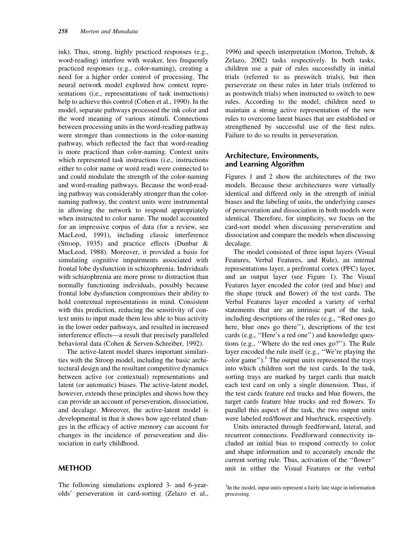ink). Thus, strong, highly practiced responses (e.g., word-reading) interfere with weaker, less frequently practiced responses (e.g., color-naming), creating a need for a higher order control of processing. The neural network model explored how context representations (i.e., representations of task instructions) help to achieve this control (Cohen et al., 1990). In the model, separate pathways processed the ink color and the word meaning of various stimuli. Connections between processing units in the word-reading pathway were stronger than connections in the color-naming pathway, which reflected the fact that word-reading is more practiced than color-naming. Context units which represented task instructions (i.e., instructions either to color name or word read) were connected to and could modulate the strength of the color-naming and word-reading pathways. Because the word-reading pathway was considerably stronger than the colornaming pathway, the context units were instrumental in allowing the network to respond appropriately when instructed to color name. The model accounted for an impressive corpus of data (for a review, see MacLeod, 1991), including classic interference (Stroop, 1935) and practice effects (Dunbar  $\&$ MacLeod, 1988). Moreover, it provided a basis for simulating cognitive impairments associated with frontal lobe dysfunction in schizophrenia. Individuals with schizophrenia are more prone to distraction than normally functioning individuals, possibly because frontal lobe dysfunction compromises their ability to hold contextual representations in mind. Consistent with this prediction, reducing the sensitivity of context units to input made them less able to bias activity in the lower order pathways, and resulted in increased interference effects—a result that precisely paralleled behavioral data (Cohen & Serven-Schreiber, 1992).

The active-latent model shares important similarities with the Stroop model, including the basic architectural design and the resultant competitive dynamics between active (or contextual) representations and latent (or automatic) biases. The active-latent model, however, extends these principles and shows how they can provide an account of perseveration, dissociation, and decalage. Moreover, the active-latent model is developmental in that it shows how age-related changes in the efficacy of active memory can account for changes in the incidence of perseveration and dissociation in early childhood.

#### **METHOD**

The following simulations explored 3- and 6-yearolds' perseveration in card-sorting (Zelazo et al.,

1996) and speech interpretation (Morton, Trehub, & Zelazo, 2002) tasks respectively. In both tasks, children use a pair of rules successfully in initial trials (referred to as preswitch trials), but then perseverate on these rules in later trials (referred to as postswitch trials) when instructed to switch to new rules. According to the model, children need to maintain a strong active representation of the new rules to overcome latent biases that are established or strengthened by successful use of the first rules. Failure to do so results in perseveration.

# Architecture, Environments, and Learning Algorithm

Figures 1 and 2 show the architectures of the two models. Because these architectures were virtually identical and differed only in the strength of initial biases and the labeling of units, the underlying causes of perseveration and dissociation in both models were identical. Therefore, for simplicity, we focus on the card-sort model when discussing perseveration and dissociation and compare the models when discussing decalage.

The model consisted of three input layers (Visual Features, Verbal Features, and Rule), an internal representations layer, a prefrontal cortex (PFC) layer, and an output layer (see Figure 1). The Visual Features layer encoded the color (red and blue) and the shape (truck and flower) of the test cards. The Verbal Features layer encoded a variety of verbal statements that are an intrinsic part of the task, including descriptions of the rules (e.g., "Red ones go here, blue ones go there"), descriptions of the test cards (e.g., "Here's a red one") and knowledge questions (e.g., "Where do the red ones go?"). The Rule layer encoded the rule itself (e.g., "We're playing the color game").<sup>1</sup> The output units represented the trays into which children sort the test cards. In the task, sorting trays are marked by target cards that match each test card on only a single dimension. Thus, if the test cards feature red trucks and blue flowers, the target cards feature blue trucks and red flowers. To parallel this aspect of the task, the two output units were labeled red/flower and blue/truck, respectively.

Units interacted through feedforward, lateral, and recurrent connections. Feedforward connectivity included an initial bias to respond correctly to color and shape information and to accurately encode the current sorting rule. Thus, activation of the "flower" unit in either the Visual Features or the verbal

 $1$ In the model, input units represent a fairly late stage in information processing.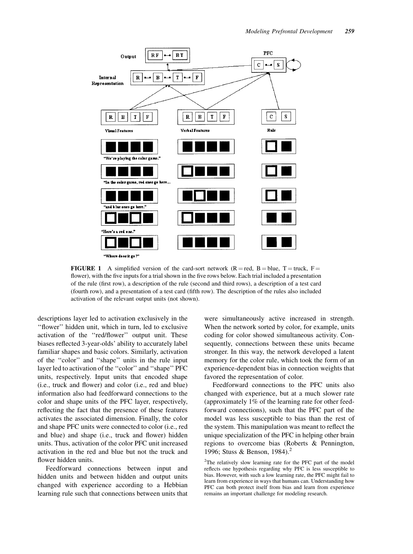

**FIGURE 1** A simplified version of the card-sort network (R = red, B = blue, T = truck, F = flower), with the five inputs for a trial shown in the five rows below. Each trial included a presentation of the rule (first row), a description of the rule (second and third rows), a description of a test card (fourth row), and a presentation of a test card (fifth row). The description of the rules also included activation of the relevant output units (not shown).

descriptions layer led to activation exclusively in the "flower" hidden unit, which in turn, led to exclusive activation of the "red/flower" output unit. These biases reflected 3-year-olds' ability to accurately label familiar shapes and basic colors. Similarly, activation of the "color" and "shape" units in the rule input layer led to activation of the "color" and "shape" PFC units, respectively. Input units that encoded shape (i.e., truck and flower) and color (i.e., red and blue) information also had feedforward connections to the color and shape units of the PFC layer, respectively, reflecting the fact that the presence of these features activates the associated dimension. Finally, the color and shape PFC units were connected to color (i.e., red and blue) and shape (i.e., truck and flower) hidden units. Thus, activation of the color PFC unit increased activation in the red and blue but not the truck and flower hidden units.

Feedforward connections between input and hidden units and between hidden and output units changed with experience according to a Hebbian learning rule such that connections between units that were simultaneously active increased in strength. When the network sorted by color, for example, units coding for color showed simultaneous activity. Consequently, connections between these units became stronger. In this way, the network developed a latent memory for the color rule, which took the form of an experience-dependent bias in connection weights that favored the representation of color.

Feedforward connections to the PFC units also changed with experience, but at a much slower rate (approximately  $1\%$  of the learning rate for other feedforward connections), such that the PFC part of the model was less susceptible to bias than the rest of the system. This manipulation was meant to reflect the unique specialization of the PFC in helping other brain regions to overcome bias (Roberts & Pennington, 1996; Stuss & Benson, 1984).<sup>2</sup>

 $2$ The relatively slow learning rate for the PFC part of the model reflects one hypothesis regarding why PFC is less susceptible to bias. However, with such a low learning rate, the PFC might fail to learn from experience in ways that humans can. Understanding how PFC can both protect itself from bias and learn from experience remains an important challenge for modeling research.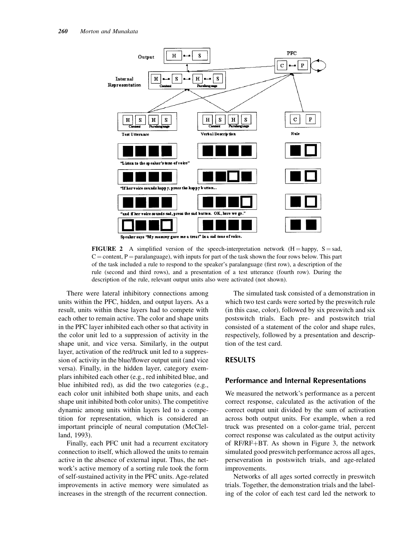

**FIGURE 2** A simplified version of the speech-interpretation network (H = happy, S = sad,  $C =$  content, P = paralanguage), with inputs for part of the task shown the four rows below. This part of the task included a rule to respond to the speaker's paralanguage (first row), a description of the rule (second and third rows), and a presentation of a test utterance (fourth row). During the description of the rule, relevant output units also were activated (not shown).

There were lateral inhibitory connections among units within the PFC, hidden, and output layers. As a result, units within these layers had to compete with each other to remain active. The color and shape units in the PFC layer inhibited each other so that activity in the color unit led to a suppression of activity in the shape unit, and vice versa. Similarly, in the output layer, activation of the red/truck unit led to a suppression of activity in the blue/flower output unit (and vice versa). Finally, in the hidden layer, category exemplars inhibited each other (e.g., red inhibited blue, and blue inhibited red), as did the two categories (e.g., each color unit inhibited both shape units, and each shape unit inhibited both color units). The competitive dynamic among units within layers led to a competition for representation, which is considered an important principle of neural computation (McClelland, 1993).

Finally, each PFC unit had a recurrent excitatory connection to itself, which allowed the units to remain active in the absence of external input. Thus, the network's active memory of a sorting rule took the form of self-sustained activity in the PFC units. Age-related improvements in active memory were simulated as increases in the strength of the recurrent connection.

The simulated task consisted of a demonstration in which two test cards were sorted by the preswitch rule (in this case, color), followed by six preswitch and six postswitch trials. Each pre- and postswitch trial consisted of a statement of the color and shape rules, respectively, followed by a presentation and description of the test card.

#### **RESULTS**

#### **Performance and Internal Representations**

We measured the network's performance as a percent correct response, calculated as the activation of the correct output unit divided by the sum of activation across both output units. For example, when a red truck was presented on a color-game trial, percent correct response was calculated as the output activity of RF/RF+BT. As shown in Figure 3, the network simulated good preswitch performance across all ages, perseveration in postswitch trials, and age-related improvements.

Networks of all ages sorted correctly in preswitch trials. Together, the demonstration trials and the labeling of the color of each test card led the network to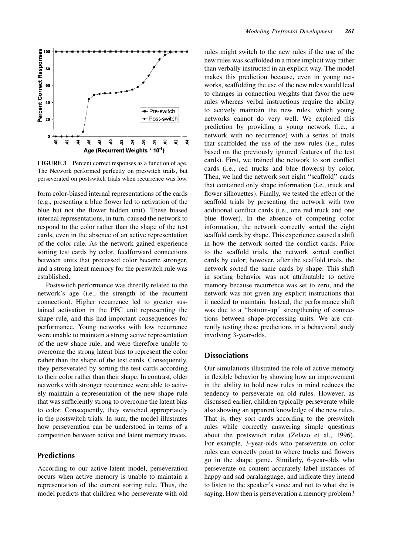

FIGURE 3 Percent correct responses as a function of age. The Network performed perfectly on preswitch trails, but perseverated on postswitch trials when recurrence was low.

form color-biased internal representations of the cards (e.g., presenting a blue flower led to activation of the blue but not the flower hidden unit). These biased internal representations, in turn, caused the network to respond to the color rather than the shape of the test cards, even in the absence of an active representation of the color rule. As the network gained experience sorting test cards by color, feedforward connections between units that processed color became stronger, and a strong latent memory for the preswitch rule was established.

Postswitch performance was directly related to the network's age (i.e., the strength of the recurrent connection). Higher recurrence led to greater sustained activation in the PFC unit representing the shape rule, and this had important consequences for performance. Young networks with low recurrence were unable to maintain a strong active representation of the new shape rule, and were therefore unable to overcome the strong latent bias to represent the color rather than the shape of the test cards. Consequently, they perseverated by sorting the test cards according to their color rather than their shape. In contrast, older networks with stronger recurrence were able to actively maintain a representation of the new shape rule that was sufficiently strong to overcome the latent bias to color. Consequently, they switched appropriately in the postswitch trials. In sum, the model illustrates how perseveration can be understood in terms of a competition between active and latent memory traces.

#### **Predictions**

According to our active-latent model, perseveration occurs when active memory is unable to maintain a representation of the current sorting rule. Thus, the model predicts that children who perseverate with old rules might switch to the new rules if the use of the new rules was scaffolded in a more implicit way rather than verbally instructed in an explicit way. The model makes this prediction because, even in young networks, scaffolding the use of the new rules would lead to changes in connection weights that favor the new rules whereas verbal instructions require the ability to actively maintain the new rules, which young networks cannot do very well. We explored this prediction by providing a young network (i.e., a network with no recurrence) with a series of trials that scaffolded the use of the new rules (i.e., rules based on the previously ignored features of the test cards). First, we trained the network to sort conflict cards (i.e., red trucks and blue flowers) by color. Then, we had the network sort eight "scaffold" cards that contained only shape information (i.e., truck and flower silhouettes). Finally, we tested the effect of the scaffold trials by presenting the network with two additional conflict cards (i.e., one red truck and one blue flower). In the absence of competing color information, the network correctly sorted the eight scaffold cards by shape. This experience caused a shift in how the network sorted the conflict cards. Prior to the scaffold trials, the network sorted conflict cards by color; however, after the scaffold trials, the network sorted the same cards by shape. This shift in sorting behavior was not attributable to active memory because recurrence was set to zero, and the network was not given any explicit instructions that it needed to maintain. Instead, the performance shift was due to a "bottom-up" strengthening of connections between shape-processing units. We are currently testing these predictions in a behavioral study involving 3-year-olds.

# **Dissociations**

Our simulations illustrated the role of active memory in flexible behavior by showing how an improvement in the ability to hold new rules in mind reduces the tendency to perseverate on old rules. However, as discussed earlier, children typically perseverate while also showing an apparent knowledge of the new rules. That is, they sort cards according to the preswitch rules while correctly answering simple questions about the postswitch rules (Zelazo et al., 1996). For example, 3-year-olds who perseverate on color rules can correctly point to where trucks and flowers go in the shape game. Similarly, 6-year-olds who perseverate on content accurately label instances of happy and sad paralanguage, and indicate they intend to listen to the speaker's voice and not to what she is saying. How then is perseveration a memory problem?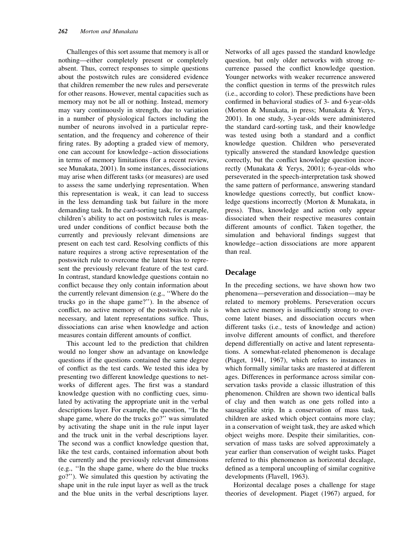Challenges of this sort assume that memory is all or nothing—either completely present or completely absent. Thus, correct responses to simple questions about the postswitch rules are considered evidence that children remember the new rules and perseverate for other reasons. However, mental capacities such as memory may not be all or nothing. Instead, memory may vary continuously in strength, due to variation in a number of physiological factors including the number of neurons involved in a particular representation, and the frequency and coherence of their firing rates. By adopting a graded view of memory, one can account for knowledge-action dissociations in terms of memory limitations (for a recent review, see Munakata, 2001). In some instances, dissociations may arise when different tasks (or measures) are used to assess the same underlying representation. When this representation is weak, it can lead to success in the less demanding task but failure in the more demanding task. In the card-sorting task, for example, children's ability to act on postswitch rules is measured under conditions of conflict because both the currently and previously relevant dimensions are present on each test card. Resolving conflicts of this nature requires a strong active representation of the postswitch rule to overcome the latent bias to represent the previously relevant feature of the test card. In contrast, standard knowledge questions contain no conflict because they only contain information about the currently relevant dimension (e.g., "Where do the trucks go in the shape game?"). In the absence of conflict, no active memory of the postswitch rule is necessary, and latent representations suffice. Thus, dissociations can arise when knowledge and action measures contain different amounts of conflict.

This account led to the prediction that children would no longer show an advantage on knowledge questions if the questions contained the same degree of conflict as the test cards. We tested this idea by presenting two different knowledge questions to networks of different ages. The first was a standard knowledge question with no conflicting cues, simulated by activating the appropriate unit in the verbal descriptions layer. For example, the question, "In the shape game, where do the trucks go?" was simulated by activating the shape unit in the rule input layer and the truck unit in the verbal descriptions layer. The second was a conflict knowledge question that, like the test cards, contained information about both the currently and the previously relevant dimensions (e.g., "In the shape game, where do the blue trucks go?"). We simulated this question by activating the shape unit in the rule input layer as well as the truck and the blue units in the verbal descriptions layer. Networks of all ages passed the standard knowledge question, but only older networks with strong recurrence passed the conflict knowledge question. Younger networks with weaker recurrence answered the conflict question in terms of the preswitch rules (i.e., according to color). These predictions have been confirmed in behavioral studies of 3- and 6-year-olds (Morton & Munakata, in press; Munakata & Yerys, 2001). In one study, 3-year-olds were administered the standard card-sorting task, and their knowledge was tested using both a standard and a conflict knowledge question. Children who perseverated typically answered the standard knowledge question correctly, but the conflict knowledge question incorrectly (Munakata & Yerys, 2001); 6-year-olds who perseverated in the speech-interpretation task showed the same pattern of performance, answering standard knowledge questions correctly, but conflict knowledge questions incorrectly (Morton & Munakata, in press). Thus, knowledge and action only appear dissociated when their respective measures contain different amounts of conflict. Taken together, the simulation and behavioral findings suggest that knowledge-action dissociations are more apparent than real.

# **Decalage**

In the preceding sections, we have shown how two phenomena—perseveration and dissociation—may be related to memory problems. Perseveration occurs when active memory is insufficiently strong to overcome latent biases, and dissociation occurs when different tasks (i.e., tests of knowledge and action) involve different amounts of conflict, and therefore depend differentially on active and latent representations. A somewhat-related phenomenon is decalage (Piaget, 1941, 1967), which refers to instances in which formally similar tasks are mastered at different ages. Differences in performance across similar conservation tasks provide a classic illustration of this phenomenon. Children are shown two identical balls of clay and then watch as one gets rolled into a sausagelike strip. In a conservation of mass task, children are asked which object contains more clay; in a conservation of weight task, they are asked which object weighs more. Despite their similarities, conservation of mass tasks are solved approximately a year earlier than conservation of weight tasks. Piaget referred to this phenomenon as horizontal decalage, defined as a temporal uncoupling of similar cognitive developments (Flavell, 1963).

Horizontal decalage poses a challenge for stage theories of development. Piaget (1967) argued, for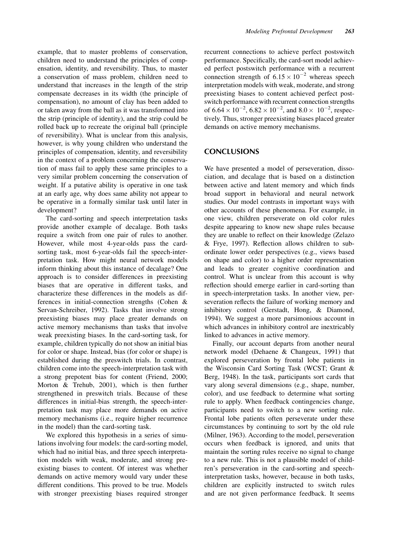example, that to master problems of conservation, children need to understand the principles of compensation, identity, and reversibility. Thus, to master a conservation of mass problem, children need to understand that increases in the length of the strip compensate decreases in its width (the principle of compensation), no amount of clay has been added to or taken away from the ball as it was transformed into the strip (principle of identity), and the strip could be rolled back up to recreate the original ball (principle of reversibility). What is unclear from this analysis, however, is why young children who understand the principles of compensation, identity, and reversibility in the context of a problem concerning the conservation of mass fail to apply these same principles to a very similar problem concerning the conservation of weight. If a putative ability is operative in one task at an early age, why does same ability not appear to be operative in a formally similar task until later in development?

The card-sorting and speech interpretation tasks provide another example of decalage. Both tasks require a switch from one pair of rules to another. However, while most 4-year-olds pass the cardsorting task, most 6-year-olds fail the speech-interpretation task. How might neural network models inform thinking about this instance of decalage? One approach is to consider differences in preexisting biases that are operative in different tasks, and characterize these differences in the models as differences in initial-connection strengths (Cohen & Servan-Schreiber, 1992). Tasks that involve strong preexisting biases may place greater demands on active memory mechanisms than tasks that involve weak preexisting biases. In the card-sorting task, for example, children typically do not show an initial bias for color or shape. Instead, bias (for color or shape) is established during the preswitch trials. In contrast, children come into the speech-interpretation task with a strong prepotent bias for content (Friend, 2000; Morton & Trehub, 2001), which is then further strengthened in preswitch trials. Because of these differences in initial-bias strength, the speech-interpretation task may place more demands on active memory mechanisms (i.e., require higher recurrence in the model) than the card-sorting task.

We explored this hypothesis in a series of simulations involving four models: the card-sorting model, which had no initial bias, and three speech interpretation models with weak, moderate, and strong preexisting biases to content. Of interest was whether demands on active memory would vary under these different conditions. This proved to be true. Models with stronger preexisting biases required stronger

recurrent connections to achieve perfect postswitch performance. Specifically, the card-sort model achieved perfect postswitch performance with a recurrent connection strength of  $6.15 \times 10^{-2}$  whereas speech interpretation models with weak, moderate, and strong preexisting biases to content achieved perfect postswitch performance with recurrent connection strengths of  $6.64 \times 10^{-2}$ ,  $6.82 \times 10^{-2}$ , and  $8.0 \times 10^{-2}$ , respectively. Thus, stronger preexisting biases placed greater demands on active memory mechanisms.

# **CONCLUSIONS**

We have presented a model of perseveration, dissociation, and decalage that is based on a distinction between active and latent memory and which finds broad support in behavioral and neural network studies. Our model contrasts in important ways with other accounts of these phenomena. For example, in one view, children perseverate on old color rules despite appearing to know new shape rules because they are unable to reflect on their knowledge (Zelazo & Frye, 1997). Reflection allows children to subordinate lower order perspectives (e.g., views based on shape and color) to a higher order representation and leads to greater cognitive coordination and control. What is unclear from this account is why reflection should emerge earlier in card-sorting than in speech-interpretation tasks. In another view, perseveration reflects the failure of working memory and inhibitory control (Gerstadt, Hong, & Diamond, 1994). We suggest a more parsimonious account in which advances in inhibitory control are inextricably linked to advances in active memory.

Finally, our account departs from another neural network model (Dehaene & Changeux, 1991) that explored perseveration by frontal lobe patients in the Wisconsin Card Sorting Task (WCST; Grant & Berg, 1948). In the task, participants sort cards that vary along several dimensions (e.g., shape, number, color), and use feedback to determine what sorting rule to apply. When feedback contingencies change, participants need to switch to a new sorting rule. Frontal lobe patients often perseverate under these circumstances by continuing to sort by the old rule (Milner, 1963). According to the model, perseveration occurs when feedback is ignored, and units that maintain the sorting rules receive no signal to change to a new rule. This is not a plausible model of children's perseveration in the card-sorting and speechinterpretation tasks, however, because in both tasks, children are explicitly instructed to switch rules and are not given performance feedback. It seems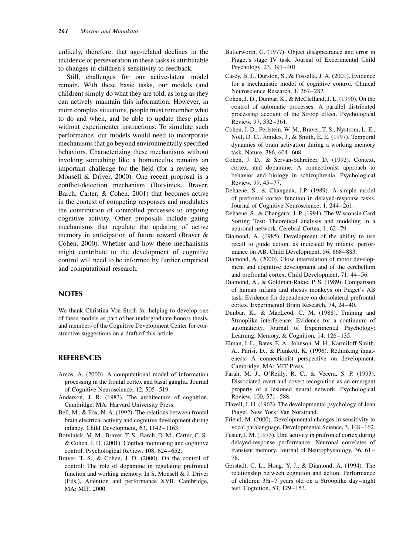unlikely, therefore, that age-related declines in the incidence of perseveration in these tasks is attributable to changes in children's sensitivity to feedback.

Still, challenges for our active-latent model remain. With these basic tasks, our models (and children) simply do what they are told, as long as they can actively maintain this information. However, in more complex situations, people must remember what to do and when, and be able to update these plans without experimenter instructions. To simulate such performance, our models would need to incorporate mechanisms that go beyond environmentally specified behaviors. Characterizing these mechanisms without invoking something like a homunculus remains an important challenge for the field (for a review, see Monsell & Driver, 2000). One recent proposal is a conflict-detection mechanism (Botvinick, Braver, Barch, Carter, & Cohen, 2001) that becomes active in the context of competing responses and modulates the contribution of controlled processes to ongoing cognitive activity. Other proposals include gating mechanisms that regulate the updating of active memory in anticipation of future reward (Braver & Cohen, 2000). Whether and how these mechanisms might contribute to the development of cognitive control will need to be informed by further empirical and computational research.

# **NOTES**

We thank Christina Von Stroh for helping to develop one of these models as part of her undergraduate honors thesis, and members of the Cognitive Development Center for constructive suggestions on a draft of this article.

# **REFERENCES**

- Amos, A. (2000). A computational model of information processing in the frontal cortex and basal ganglia. Journal of Cognitive Neuroscience, 12, 505–519.
- Anderson, J. R. (1983). The architecture of cognition. Cambridge, MA: Harvard University Press.
- Bell, M., & Fox, N. A. (1992). The relations between frontal brain electrical activity and cognitive development during infancy. Child Development, 63, 1142-1163.
- Botvinick, M. M., Braver, T. S., Barch, D. M., Carter, C. S., & Cohen, J. D. (2001). Conflict monitoring and cognitive control. Psychological Review, 108, 624-652.
- Braver, T. S., & Cohen, J. D. (2000). On the control of control: The role of dopamine in regulating prefrontal function and working memory. In S. Monsell & J. Driver (Eds.), Attention and performance XVII. Cambridge, MA: MIT, 2000.
- Butterworth, G. (1977). Object disappearance and error in Piaget's stage IV task. Journal of Experimental Child Psychology, 23, 391-401.
- Casey, B. J., Durston, S., & Fossella, J. A. (2001). Evidence for a mechanistic model of cognitive control. Clinical Neuroscience Research, 1, 267-282.
- Cohen, J. D., Dunbar, K., & McClelland, J. L. (1990). On the control of automatic processes: A parallel distributed processing account of the Stroop effect. Psychological Review, 97, 332-361.
- Cohen, J. D., Perlstein, W. M., Braver, T. S., Nystrom, L. E., Noll, D. C., Jonides, J., & Smith, E. E. (1997). Temporal dynamics of brain activation during a working memory task. Nature, 386, 604-608.
- Cohen, J. D., & Servan-Schreiber, D. (1992). Context, cortex, and dopamine: A connectionist approach to behavior and biology in schizophrenia. Psychological Review, 99, 45-77.
- Dehaene, S., & Changeux, J.P. (1989). A simple model of prefrontal cortex function in delayed-response tasks. Journal of Cognitive Neuroscience, 1, 244-261.
- Dehaene, S., & Changeux, J. P. (1991). The Wisconsin Card Sorting Test: Theoretical analysis and modeling in a neuronal network. Cerebral Cortex, 1, 62-79.
- Diamond, A. (1985). Development of the ability to use recall to guide action, as indicated by infants' performance on AB. Child Development, 56, 868-883.
- Diamond, A. (2000). Close interrelation of motor development and cognitive development and of the cerebellum and prefrontal cortex. Child Development, 71, 44–56.
- Diamond, A., & Goldman-Rakic, P. S. (1989). Comparison of human infants and rhesus monkeys on Piaget's AB task: Evidence for dependence on dorsolateral prefrontal cortex. Experimental Brain Research, 74, 24-40.
- Dunbar, K., & MacLeod, C. M. (1988). Training and Strooplike interference: Evidence for a continuum of automaticity. Journal of Experimental Psychology: Learning, Memory, & Cognition, 14, 126-135.
- Elman, J. L., Bates, E. A., Johnson, M. H., Karmiloff-Smith, A., Parisi, D., & Plunkett, K. (1996). Rethinking innateness: A connectionist perspective on development. Cambridge, MA: MIT Press.
- Farah, M. J., O'Reilly, R. C., & Vecera, S. P. (1993). Dissociated overt and covert recognition as an emergent property of a lesioned neural network. Psychological Review, 100, 571-588.
- Flavell, J. H. (1963). The developmental psychology of Jean Piaget. New York: Van Norstrand.
- Friend, M. (2000). Developmental changes in sensitivity to vocal paralanguage. Developmental Science, 3, 148-162.
- Fuster, J. M. (1973). Unit activity in prefrontal cortex during delayed-response performance: Neuronal correlates of transient memory. Journal of Neurophysiology, 36, 61-78.
- Gerstadt, C. L., Hong, Y. J., & Diamond, A. (1994). The relationship between cognition and action: Performance of children  $3\frac{1}{2}$ -7 years old on a Strooplike day-night test. Cognition, 53, 129-153.